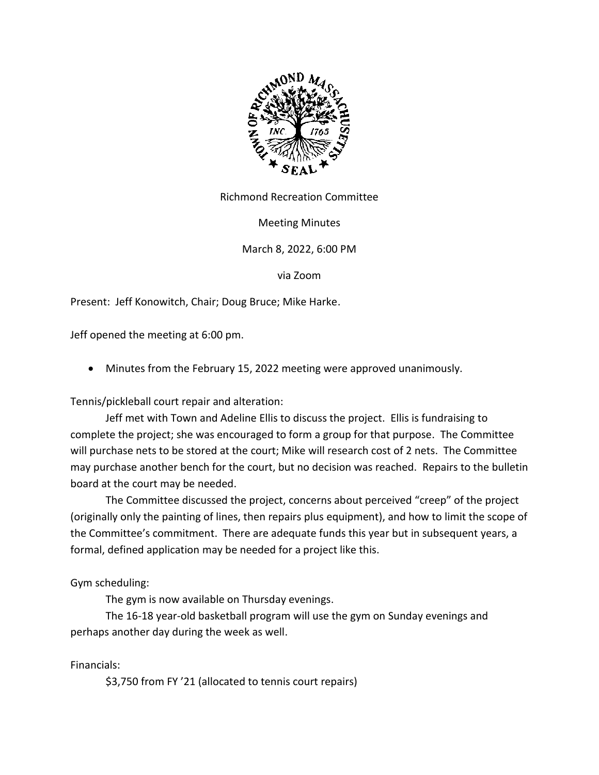

Richmond Recreation Committee

Meeting Minutes

March 8, 2022, 6:00 PM

via Zoom

Present: Jeff Konowitch, Chair; Doug Bruce; Mike Harke.

Jeff opened the meeting at 6:00 pm.

• Minutes from the February 15, 2022 meeting were approved unanimously.

Tennis/pickleball court repair and alteration:

Jeff met with Town and Adeline Ellis to discuss the project. Ellis is fundraising to complete the project; she was encouraged to form a group for that purpose. The Committee will purchase nets to be stored at the court; Mike will research cost of 2 nets. The Committee may purchase another bench for the court, but no decision was reached. Repairs to the bulletin board at the court may be needed.

The Committee discussed the project, concerns about perceived "creep" of the project (originally only the painting of lines, then repairs plus equipment), and how to limit the scope of the Committee's commitment. There are adequate funds this year but in subsequent years, a formal, defined application may be needed for a project like this.

Gym scheduling:

The gym is now available on Thursday evenings.

The 16-18 year-old basketball program will use the gym on Sunday evenings and perhaps another day during the week as well.

Financials:

\$3,750 from FY '21 (allocated to tennis court repairs)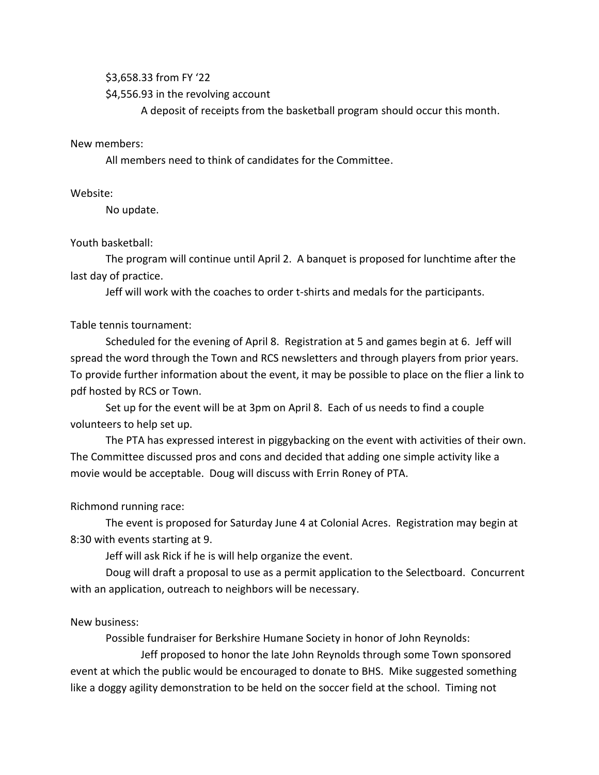#### \$3,658.33 from FY '22

\$4,556.93 in the revolving account

A deposit of receipts from the basketball program should occur this month.

#### New members:

All members need to think of candidates for the Committee.

## Website:

No update.

## Youth basketball:

The program will continue until April 2. A banquet is proposed for lunchtime after the last day of practice.

Jeff will work with the coaches to order t-shirts and medals for the participants.

## Table tennis tournament:

Scheduled for the evening of April 8. Registration at 5 and games begin at 6. Jeff will spread the word through the Town and RCS newsletters and through players from prior years. To provide further information about the event, it may be possible to place on the flier a link to pdf hosted by RCS or Town.

Set up for the event will be at 3pm on April 8. Each of us needs to find a couple volunteers to help set up.

The PTA has expressed interest in piggybacking on the event with activities of their own. The Committee discussed pros and cons and decided that adding one simple activity like a movie would be acceptable. Doug will discuss with Errin Roney of PTA.

## Richmond running race:

The event is proposed for Saturday June 4 at Colonial Acres. Registration may begin at 8:30 with events starting at 9.

Jeff will ask Rick if he is will help organize the event.

Doug will draft a proposal to use as a permit application to the Selectboard. Concurrent with an application, outreach to neighbors will be necessary.

# New business:

Possible fundraiser for Berkshire Humane Society in honor of John Reynolds:

Jeff proposed to honor the late John Reynolds through some Town sponsored event at which the public would be encouraged to donate to BHS. Mike suggested something like a doggy agility demonstration to be held on the soccer field at the school. Timing not